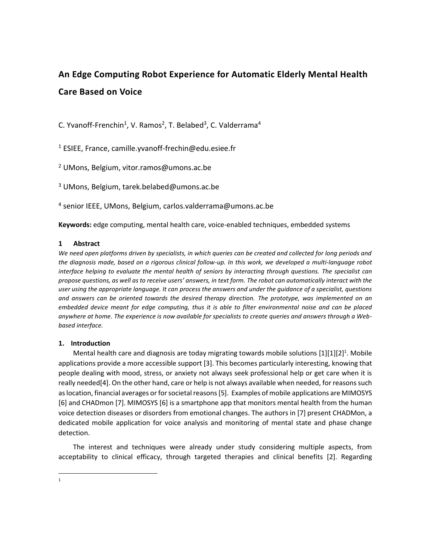# **An Edge Computing Robot Experience for Automatic Elderly Mental Health Care Based on Voice**

C. Yvanoff-Frenchin<sup>1</sup>, V. Ramos<sup>2</sup>, T. Belabed<sup>3</sup>, C. Valderrama<sup>4</sup>

<sup>1</sup> ESIEE, France, camille.yvanoff-frechin@edu.esiee.fr

<sup>2</sup> UMons, Belgium, vitor.ramos@umons.ac.be

<sup>3</sup> UMons, Belgium, tarek.belabed@umons.ac.be

4 senior IEEE, UMons, Belgium, carlos.valderrama@umons.ac.be

**Keywords:** edge computing, mental health care, voice-enabled techniques, embedded systems

## **1 Abstract**

We need open platforms driven by specialists, in which queries can be created and collected for long periods and *the diagnosis made, based on a rigorous clinical follow-up. In this work, we developed a multi-language robot interface helping to evaluate the mental health of seniors by interacting through questions. The specialist can propose questions, as well as to receive users' answers, in text form. The robot can automatically interact with the user using the appropriate language. It can process the answers and under the guidance of a specialist, questions and answers can be oriented towards the desired therapy direction. The prototype, was implemented on an embedded device meant for edge computing, thus it is able to filter environmental noise and can be placed anywhere at home. The experience is now available for specialists to create queries and answers through a Webbased interface.* 

# **1. Introduction**

Mental health care and diagnosis are today migrating towards mobile solutions  $[1][1][2]^1$ . Mobile applications provide a more accessible support [3]. This becomes particularly interesting, knowing that people dealing with mood, stress, or anxiety not always seek professional help or get care when it is really needed[4]. On the other hand, care or help is not always available when needed, for reasons such as location, financial averages or for societal reasons [5]. Examples of mobile applications are MIMOSYS [6] and CHADmon [7]. MIMOSYS [6] is a smartphone app that monitors mental health from the human voice detection diseases or disorders from emotional changes. The authors in [7] present CHADMon, a dedicated mobile application for voice analysis and monitoring of mental state and phase change detection.

The interest and techniques were already under study considering multiple aspects, from acceptability to clinical efficacy, through targeted therapies and clinical benefits [2]. Regarding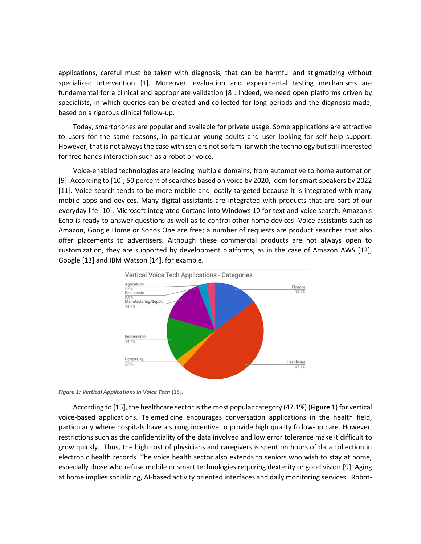applications, careful must be taken with diagnosis, that can be harmful and stigmatizing without specialized intervention [1]. Moreover, evaluation and experimental testing mechanisms are fundamental for a clinical and appropriate validation [8]. Indeed, we need open platforms driven by specialists, in which queries can be created and collected for long periods and the diagnosis made, based on a rigorous clinical follow-up.

Today, smartphones are popular and available for private usage. Some applications are attractive to users for the same reasons, in particular young adults and user looking for self-help support. However, that is not always the case with seniors not so familiar with the technology but still interested for free hands interaction such as a robot or voice.

Voice-enabled technologies are leading multiple domains, from automotive to home automation [9]. According to [10], 50 percent of searches based on voice by 2020, idem for smart speakers by 2022 [11]. Voice search tends to be more mobile and locally targeted because it is integrated with many mobile apps and devices. Many digital assistants are integrated with products that are part of our everyday life [10]. Microsoft integrated Cortana into Windows 10 for text and voice search. Amazon's Echo is ready to answer questions as well as to control other home devices. Voice assistants such as Amazon, Google Home or Sonos One are free; a number of requests are product searches that also offer placements to advertisers. Although these commercial products are not always open to customization, they are supported by development platforms, as in the case of Amazon AWS [12], Google [13] and IBM Watson [14], for example.



<span id="page-1-0"></span>

According to [15], the healthcare sector is the most popular category (47.1%) (**[Figure 1](#page-1-0)**) for vertical voice-based applications. Telemedicine encourages conversation applications in the health field, particularly where hospitals have a strong incentive to provide high quality follow-up care. However, restrictions such as the confidentiality of the data involved and low error tolerance make it difficult to grow quickly. Thus, the high cost of physicians and caregivers is spent on hours of data collection in electronic health records. The voice health sector also extends to seniors who wish to stay at home, especially those who refuse mobile or smart technologies requiring dexterity or good vision [9]. Aging at home implies socializing, AI-based activity oriented interfaces and daily monitoring services. Robot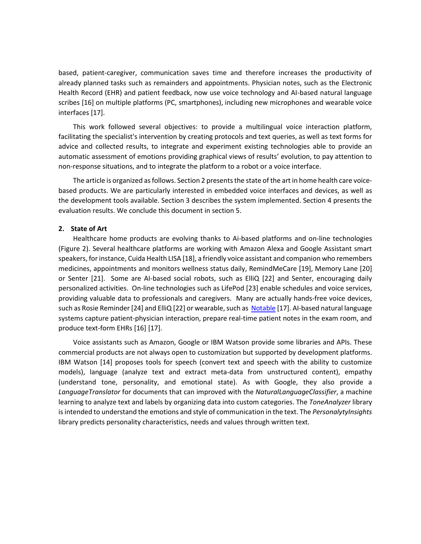based, patient-caregiver, communication saves time and therefore increases the productivity of already planned tasks such as remainders and appointments. Physician notes, such as the Electronic Health Record (EHR) and patient feedback, now use voice technology and AI-based natural language scribes [16] on multiple platforms (PC, smartphones), including new microphones and wearable voice interfaces [17].

This work followed several objectives: to provide a multilingual voice interaction platform, facilitating the specialist's intervention by creating protocols and text queries, as well as text forms for advice and collected results, to integrate and experiment existing technologies able to provide an automatic assessment of emotions providing graphical views of results' evolution, to pay attention to non-response situations, and to integrate the platform to a robot or a voice interface.

The article is organized as follows. Section 2 presents the state of the art in home health care voicebased products. We are particularly interested in embedded voice interfaces and devices, as well as the development tools available. Section 3 describes the system implemented. Section 4 presents the evaluation results. We conclude this document in section 5.

## **2. State of Art**

Healthcare home products are evolving thanks to Ai-based platforms and on-line technologies [\(Figure 2\)](#page-3-0). Several healthcare platforms are working with Amazon Alexa and Google Assistant smart speakers, for instance, Cuida Health LISA [18], a friendly voice assistant and companion who remembers medicines, appointments and monitors wellness status daily, RemindMeCare [19], Memory Lane [20] or Senter [21]. Some are AI-based social robots, such as ElliQ [22] and Senter, encouraging daily personalized activities. On-line technologies such as LifePod [23] enable schedules and voice services, providing valuable data to professionals and caregivers. Many are actually hands-free voice devices, such as Rosie Reminder [24] and ElliQ [22] or wearable, such as [Notable](http://notablehealth.com/) [17]. AI-based natural language systems capture patient-physician interaction, prepare real-time patient notes in the exam room, and produce text-form EHRs [16] [17].

Voice assistants such as Amazon, Google or IBM Watson provide some libraries and APIs. These commercial products are not always open to customization but supported by development platforms. IBM Watson [14] proposes tools for speech (convert text and speech with the ability to customize models), language (analyze text and extract meta-data from unstructured content), empathy (understand tone, personality, and emotional state). As with Google, they also provide a *LanguageTranslator* for documents that can improved with the *NaturalLanguageClassifier*, a machine learning to analyze text and labels by organizing data into custom categories. The *ToneAnalyzer* library is intended to understand the emotions and style of communication in the text. The *PersonalytyInsights* library predicts personality characteristics, needs and values through written text.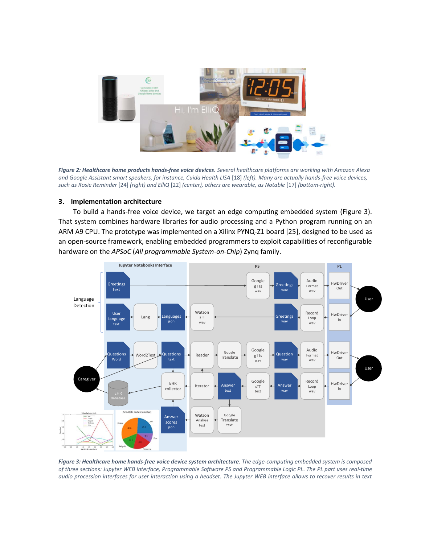

*Figure 2: Healthcare home products hands-free voice devices. Several healthcare platforms are working with Amazon Alexa and Google Assistant smart speakers, for instance, Cuida Health LISA* [18] *(left). Many are actually hands-free voice devices, such as Rosie Reminder* [24] *(right) and ElliQ* [22] *(center), others are wearable, as Notable* [17] *(bottom-right).*

## <span id="page-3-0"></span>**3. Implementation architecture**

To build a hands-free voice device, we target an edge computing embedded system [\(Figure 3\)](#page-3-1). That system combines hardware libraries for audio processing and a Python program running on an ARM A9 CPU. The prototype was implemented on a Xilinx PYNQ-Z1 board [25], designed to be used as an open-source framework, enabling embedded programmers to exploit capabilities of reconfigurable hardware on the *APSoC* (*All programmable System-on-Chip*) Zynq family.



<span id="page-3-1"></span>*Figure 3: Healthcare home hands-free voice device system architecture. The edge-computing embedded system is composed of three sections: Jupyter WEB interface, Programmable Software PS and Programmable Logic PL. The PL part uses real-time audio procession interfaces for user interaction using a headset. The Jupyter WEB interface allows to recover results in text*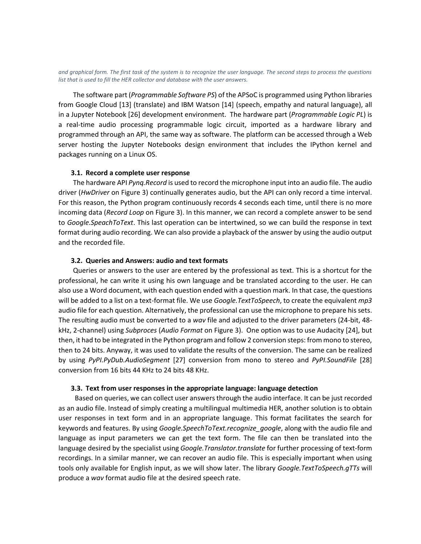*and graphical form. The first task of the system is to recognize the user language. The second steps to process the questions list that is used to fill the HER collector and database with the user answers.* 

The software part (*Programmable Software PS*) of the APSoC is programmed using Python libraries from Google Cloud [13] (translate) and IBM Watson [14] (speech, empathy and natural language), all in a Jupyter Notebook [26] development environment. The hardware part (*Programmable Logic PL*) is a real-time audio processing programmable logic circuit, imported as a hardware library and programmed through an API, the same way as software. The platform can be accessed through a Web server hosting the Jupyter Notebooks design environment that includes the IPython kernel and packages running on a Linux OS.

## **3.1. Record a complete user response**

The hardware API *Pynq.Record* is used to record the microphone input into an audio file. The audio driver (*HwDriver* on [Figure 3\)](#page-3-1) continually generates audio, but the API can only record a time interval. For this reason, the Python program continuously records 4 seconds each time, until there is no more incoming data (*Record Loop* on [Figure 3\)](#page-3-1). In this manner, we can record a complete answer to be send to *Google.SpeachToText*. This last operation can be intertwined, so we can build the response in text format during audio recording. We can also provide a playback of the answer by using the audio output and the recorded file.

#### **3.2. Queries and Answers: audio and text formats**

Queries or answers to the user are entered by the professional as text. This is a shortcut for the professional, he can write it using his own language and be translated according to the user. He can also use a Word document, with each question ended with a question mark. In that case, the questions will be added to a list on a text-format file. We use *Google.TextToSpeech*, to create the equivalent *mp3* audio file for each question. Alternatively, the professional can use the microphone to prepare his sets. The resulting audio must be converted to a *wav* file and adjusted to the driver parameters (24-bit, 48 kHz, 2-channel) using *Subproces* (*Audio Format* o[n Figure 3\)](#page-3-1). One option was to use Audacity [24], but then, it had to be integrated in the Python program and follow 2 conversion steps: from mono to stereo, then to 24 bits. Anyway, it was used to validate the results of the conversion. The same can be realized by using *PyPI.PyDub.AudioSegment* [27] conversion from mono to stereo and *PyPI.SoundFile* [28] conversion from 16 bits 44 KHz to 24 bits 48 KHz.

#### **3.3. Text from user responses in the appropriate language: language detection**

Based on queries, we can collect user answers through the audio interface. It can be just recorded as an audio file. Instead of simply creating a multilingual multimedia HER, another solution is to obtain user responses in text form and in an appropriate language. This format facilitates the search for keywords and features. By using *Google.SpeechToText.recognize\_google*, along with the audio file and language as input parameters we can get the text form. The file can then be translated into the language desired by the specialist using *Google.Translator.translate* for further processing of text-form recordings. In a similar manner, we can recover an audio file. This is especially important when using tools only available for English input, as we will show later. The library *Google.TextToSpeech.gTTs* will produce a *wav* format audio file at the desired speech rate.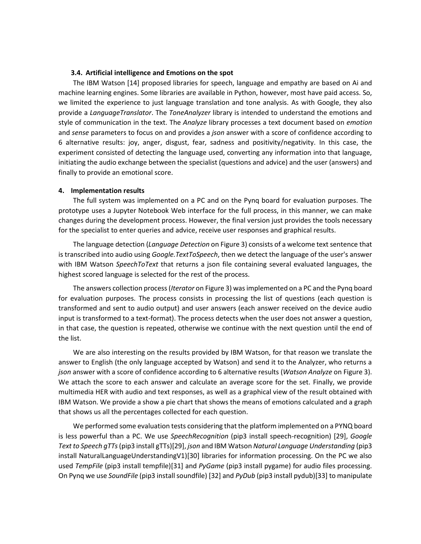## **3.4. Artificial intelligence and Emotions on the spot**

The IBM Watson [14] proposed libraries for speech, language and empathy are based on Ai and machine learning engines. Some libraries are available in Python, however, most have paid access. So, we limited the experience to just language translation and tone analysis. As with Google, they also provide a *LanguageTranslator*. The *ToneAnalyzer* library is intended to understand the emotions and style of communication in the text. The *Analyze* library processes a text document based on *emotion* and *sense* parameters to focus on and provides a *json* answer with a score of confidence according to 6 alternative results: joy, anger, disgust, fear, sadness and positivity/negativity. In this case, the experiment consisted of detecting the language used, converting any information into that language, initiating the audio exchange between the specialist (questions and advice) and the user (answers) and finally to provide an emotional score.

#### **4. Implementation results**

The full system was implemented on a PC and on the Pynq board for evaluation purposes. The prototype uses a Jupyter Notebook Web interface for the full process, in this manner, we can make changes during the development process. However, the final version just provides the tools necessary for the specialist to enter queries and advice, receive user responses and graphical results.

The language detection (*Language Detection* o[n Figure 3\)](#page-3-1) consists of a welcome text sentence that is transcribed into audio using *Google.TextToSpeech*, then we detect the language of the user's answer with IBM Watson *SpeechToText* that returns a json file containing several evaluated languages, the highest scored language is selected for the rest of the process.

The answers collection process (*Iterator* o[n Figure 3\)](#page-3-1) was implemented on a PC and the Pynq board for evaluation purposes. The process consists in processing the list of questions (each question is transformed and sent to audio output) and user answers (each answer received on the device audio input is transformed to a text-format). The process detects when the user does not answer a question, in that case, the question is repeated, otherwise we continue with the next question until the end of the list.

We are also interesting on the results provided by IBM Watson, for that reason we translate the answer to English (the only language accepted by Watson) and send it to the Analyzer, who returns a *json* answer with a score of confidence according to 6 alternative results (*Watson Analyze* o[n Figure 3\)](#page-3-1). We attach the score to each answer and calculate an average score for the set. Finally, we provide multimedia HER with audio and text responses, as well as a graphical view of the result obtained with IBM Watson. We provide a show a pie chart that shows the means of emotions calculated and a graph that shows us all the percentages collected for each question.

We performed some evaluation tests considering that the platform implemented on a PYNQ board is less powerful than a PC. We use *SpeechRecognition* (pip3 install speech-recognition) [29], *Google Text to Speech gTTs*(pip3 install gTTs)[29], *json* and IBM Watson *Natural Language Understanding* (pip3 install NaturalLanguageUnderstandingV1)[30] libraries for information processing. On the PC we also used *TempFile* (pip3 install tempfile)[31] and *PyGame* (pip3 install pygame) for audio files processing. On Pynq we use *SoundFile* (pip3 install soundfile) [32] and *PyDub* (pip3 install pydub)[33] to manipulate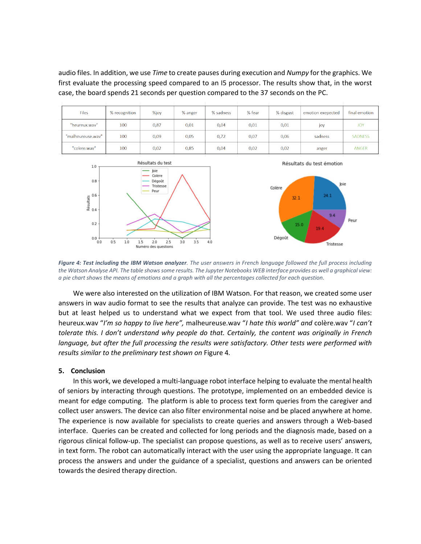audio files. In addition, we use *Time* to create pauses during execution and *Numpy* for the graphics. We first evaluate the processing speed compared to an I5 processor. The results show that, in the worst case, the board spends 21 seconds per question compared to the 37 seconds on the PC.

| <b>Files</b>      | % recognition | %joy | % anger | % sadness | % fear | % disgust | emotion exepected | final emotion  |
|-------------------|---------------|------|---------|-----------|--------|-----------|-------------------|----------------|
| "heureux.wav"     | 100           | 0,87 | 0,01    | 0,04      | 0,01   | 0,01      | joy               | <b>JOY</b>     |
| "malheureuse.way" | 100           | 0,09 | 0,05    | 0,72      | 0,07   | 0,06      | sadness           | <b>SADNESS</b> |
| "colere.wav"      | 100           | 0,02 | 0,85    | 0,04      | 0,02   | 0,02      | anger             | <b>ANGER</b>   |



<span id="page-6-0"></span>*Figure 4: Test including the IBM Watson analyzer. The user answers in French language followed the full process including the Watson Analyse API. The table shows some results. The Jupyter Notebooks WEB interface provides as well a graphical view: a pie chart shows the means of emotions and a graph with all the percentages collected for each question.* 

We were also interested on the utilization of IBM Watson. For that reason, we created some user answers in wav audio format to see the results that analyze can provide. The test was no exhaustive but at least helped us to understand what we expect from that tool. We used three audio files: heureux.wav "*I'm so happy to live here",* malheureuse.wav "*I hate this world" and* colère.wav "*I can't tolerate this. I don't understand why people do that. Certainly, the content was originally in French language, but after the full processing the results were satisfactory. Other tests were performed with results similar to the preliminary test shown on* [Figure 4](#page-6-0)*.*

## **5. Conclusion**

In this work, we developed a multi-language robot interface helping to evaluate the mental health of seniors by interacting through questions. The prototype, implemented on an embedded device is meant for edge computing. The platform is able to process text form queries from the caregiver and collect user answers. The device can also filter environmental noise and be placed anywhere at home. The experience is now available for specialists to create queries and answers through a Web-based interface. Queries can be created and collected for long periods and the diagnosis made, based on a rigorous clinical follow-up. The specialist can propose questions, as well as to receive users' answers, in text form. The robot can automatically interact with the user using the appropriate language. It can process the answers and under the guidance of a specialist, questions and answers can be oriented towards the desired therapy direction.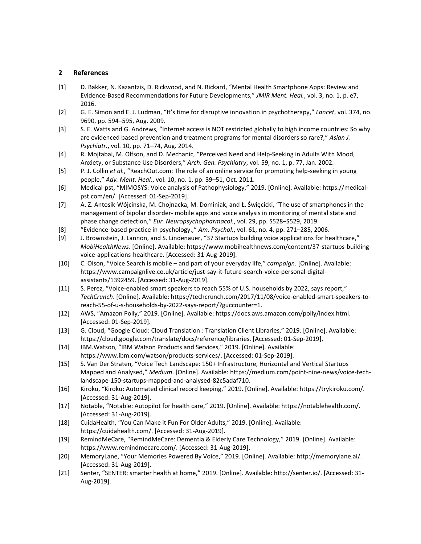## **2 References**

- [1] D. Bakker, N. Kazantzis, D. Rickwood, and N. Rickard, "Mental Health Smartphone Apps: Review and Evidence-Based Recommendations for Future Developments," *JMIR Ment. Heal.*, vol. 3, no. 1, p. e7, 2016.
- [2] G. E. Simon and E. J. Ludman, "It's time for disruptive innovation in psychotherapy," *Lancet*, vol. 374, no. 9690, pp. 594–595, Aug. 2009.
- [3] S. E. Watts and G. Andrews, "Internet access is NOT restricted globally to high income countries: So why are evidenced based prevention and treatment programs for mental disorders so rare?," *Asian J. Psychiatr.*, vol. 10, pp. 71–74, Aug. 2014.
- [4] R. Mojtabai, M. Olfson, and D. Mechanic, "Perceived Need and Help-Seeking in Adults With Mood, Anxiety, or Substance Use Disorders," *Arch. Gen. Psychiatry*, vol. 59, no. 1, p. 77, Jan. 2002.
- [5] P. J. Collin *et al.*, "ReachOut.com: The role of an online service for promoting help-seeking in young people," *Adv. Ment. Heal.*, vol. 10, no. 1, pp. 39–51, Oct. 2011.
- [6] Medical-pst, "MIMOSYS: Voice analysis of Pathophysiology," 2019. [Online]. Available: https://medicalpst.com/en/. [Accessed: 01-Sep-2019].
- [7] A. Z. Antosik-Wójcinska, M. Chojnacka, M. Dominiak, and Ł. Święcicki, "The use of smartphones in the management of bipolar disorder- mobile apps and voice analysis in monitoring of mental state and phase change detection," *Eur. Neuropsychopharmacol.*, vol. 29, pp. S528–S529, 2019.
- [8] "Evidence-based practice in psychology.," *Am. Psychol.*, vol. 61, no. 4, pp. 271–285, 2006.
- [9] J. Brownstein, J. Lannon, and S. Lindenauer, "37 Startups building voice applications for healthcare," *MobiHealthNews*. [Online]. Available: https://www.mobihealthnews.com/content/37-startups-buildingvoice-applications-healthcare. [Accessed: 31-Aug-2019].
- [10] C. Olson, "Voice Search is mobile and part of your everyday life," *campaign*. [Online]. Available: https://www.campaignlive.co.uk/article/just-say-it-future-search-voice-personal-digitalassistants/1392459. [Accessed: 31-Aug-2019].
- [11] S. Perez, "Voice-enabled smart speakers to reach 55% of U.S. households by 2022, says report," *TechCrunch*. [Online]. Available: https://techcrunch.com/2017/11/08/voice-enabled-smart-speakers-toreach-55-of-u-s-households-by-2022-says-report/?guccounter=1.
- [12] AWS, "Amazon Polly," 2019. [Online]. Available: https://docs.aws.amazon.com/polly/index.html. [Accessed: 01-Sep-2019].
- [13] G. Cloud, "Google Cloud: Cloud Translation : Translation Client Libraries," 2019. [Online]. Available: https://cloud.google.com/translate/docs/reference/libraries. [Accessed: 01-Sep-2019].
- [14] IBM.Watson, "IBM Watson Products and Services," 2019. [Online]. Available: https://www.ibm.com/watson/products-services/. [Accessed: 01-Sep-2019].
- [15] S. Van Der Straten, "Voice Tech Landscape: 150+ Infrastructure, Horizontal and Vertical Startups Mapped and Analysed," *Medium*. [Online]. Available: https://medium.com/point-nine-news/voice-techlandscape-150-startups-mapped-and-analysed-82c5adaf710.
- [16] Kiroku, "Kiroku: Automated clinical record keeping," 2019. [Online]. Available: https://trykiroku.com/. [Accessed: 31-Aug-2019].
- [17] Notable, "Notable: Autopilot for health care," 2019. [Online]. Available: https://notablehealth.com/. [Accessed: 31-Aug-2019].
- [18] CuidaHealth, "You Can Make it Fun For Older Adults," 2019. [Online]. Available: https://cuidahealth.com/. [Accessed: 31-Aug-2019].
- [19] RemindMeCare, "RemindMeCare: Dementia & Elderly Care Technology," 2019. [Online]. Available: https://www.remindmecare.com/. [Accessed: 31-Aug-2019].
- [20] MemoryLane, "Your Memories Powered By Voice," 2019. [Online]. Available: http://memorylane.ai/. [Accessed: 31-Aug-2019].
- [21] Senter, "SENTER: smarter health at home," 2019. [Online]. Available: http://senter.io/. [Accessed: 31- Aug-2019].